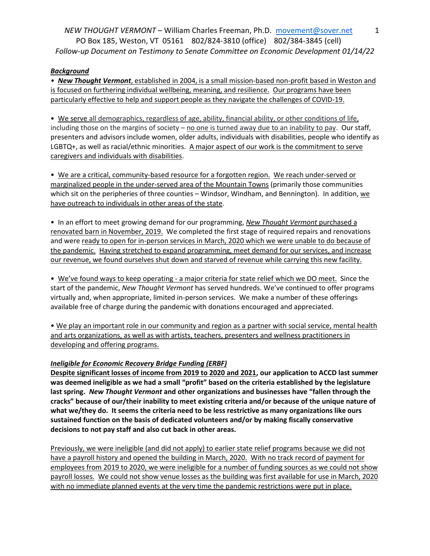*NEW THOUGHT VERMONT* – William Charles Freeman, Ph.D. [movement@sover.net](mailto:movement@sover.net) PO Box 185, Weston, VT 05161 802/824-3810 (office) 802/384-3845 (cell) *Follow-up Document on Testimony to Senate Committee on Economic Development 01/14/22*

## *Background*

*• New Thought Vermont*, established in 2004, is a small mission-based non-profit based in Weston and is focused on furthering individual wellbeing, meaning, and resilience. Our programs have been particularly effective to help and support people as they navigate the challenges of COVID-19.

• We serve all demographics, regardless of age, ability, financial ability, or other conditions of life, including those on the margins of society – no one is turned away due to an inability to pay. Our staff, presenters and advisors include women, older adults, individuals with disabilities, people who identify as LGBTQ+, as well as racial/ethnic minorities. A major aspect of our work is the commitment to serve caregivers and individuals with disabilities.

• We are a critical, community-based resource for a forgotten region. We reach under-served or marginalized people in the under-served area of the Mountain Towns (primarily those communities which sit on the peripheries of three counties – Windsor, Windham, and Bennington). In addition, we have outreach to individuals in other areas of the state.

• In an effort to meet growing demand for our programming, *New Thought Vermont* purchased a renovated barn in November, 2019. We completed the first stage of required repairs and renovations and were ready to open for in-person services in March, 2020 which we were unable to do because of the pandemic. Having stretched to expand programming, meet demand for our services, and increase our revenue, we found ourselves shut down and starved of revenue while carrying this new facility.

• We've found ways to keep operating - a major criteria for state relief which we DO meet. Since the start of the pandemic, *New Thought Vermont* has served hundreds. We've continued to offer programs virtually and, when appropriate, limited in-person services. We make a number of these offerings available free of charge during the pandemic with donations encouraged and appreciated.

• We play an important role in our community and region as a partner with social service, mental health and arts organizations, as well as with artists, teachers, presenters and wellness practitioners in developing and offering programs.

## *Ineligible for Economic Recovery Bridge Funding (ERBF)*

**Despite significant losses of income from 2019 to 2020 and 2021, our application to ACCD last summer was deemed ineligible as we had a small "profit" based on the criteria established by the legislature last spring.** *New Thought Vermont* **and other organizations and businesses have "fallen through the cracks" because of our/their inability to meet existing criteria and/or because of the unique nature of what we/they do. It seems the criteria need to be less restrictive as many organizations like ours sustained function on the basis of dedicated volunteers and/or by making fiscally conservative decisions to not pay staff and also cut back in other areas.**

Previously, we were ineligible (and did not apply) to earlier state relief programs because we did not have a payroll history and opened the building in March, 2020. With no track record of payment for employees from 2019 to 2020, we were ineligible for a number of funding sources as we could not show payroll losses. We could not show venue losses as the building was first available for use in March, 2020 with no immediate planned events at the very time the pandemic restrictions were put in place.